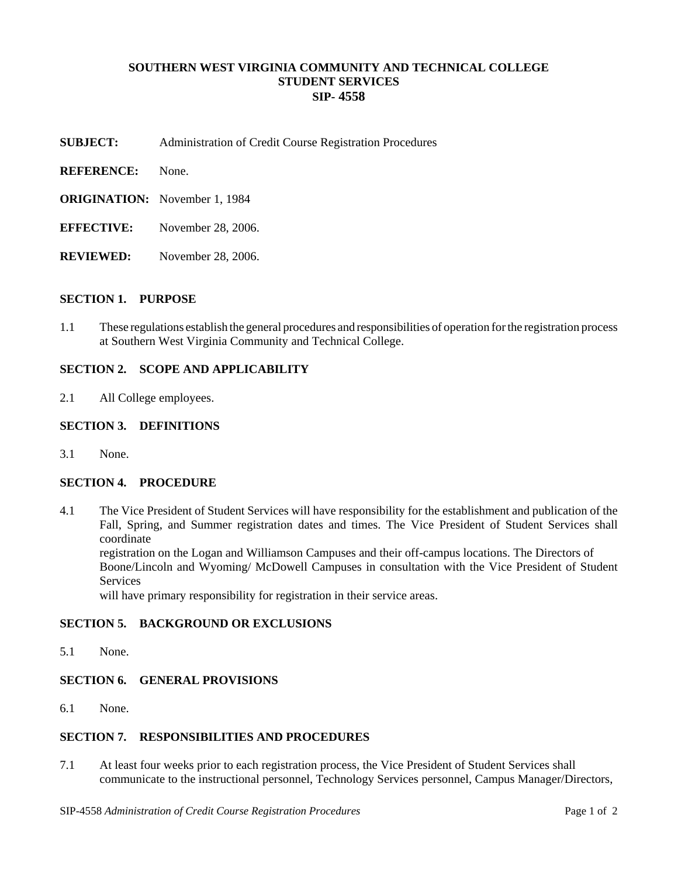### **SOUTHERN WEST VIRGINIA COMMUNITY AND TECHNICAL COLLEGE STUDENT SERVICES SIP- 4558**

- **SUBJECT:** Administration of Credit Course Registration Procedures
- **REFERENCE:** None.
- **ORIGINATION:** November 1, 1984
- **EFFECTIVE:** November 28, 2006.
- **REVIEWED:** November 28, 2006.

## **SECTION 1. PURPOSE**

1.1 These regulations establish the general procedures and responsibilities of operation for the registration process at Southern West Virginia Community and Technical College.

#### **SECTION 2. SCOPE AND APPLICABILITY**

2.1 All College employees.

# **SECTION 3. DEFINITIONS**

3.1 None.

#### **SECTION 4. PROCEDURE**

4.1 The Vice President of Student Services will have responsibility for the establishment and publication of the Fall, Spring, and Summer registration dates and times. The Vice President of Student Services shall coordinate

registration on the Logan and Williamson Campuses and their off-campus locations. The Directors of Boone/Lincoln and Wyoming/ McDowell Campuses in consultation with the Vice President of Student **Services** 

will have primary responsibility for registration in their service areas.

#### **SECTION 5. BACKGROUND OR EXCLUSIONS**

5.1 None.

#### **SECTION 6. GENERAL PROVISIONS**

6.1 None.

## **SECTION 7. RESPONSIBILITIES AND PROCEDURES**

7.1 At least four weeks prior to each registration process, the Vice President of Student Services shall communicate to the instructional personnel, Technology Services personnel, Campus Manager/Directors,